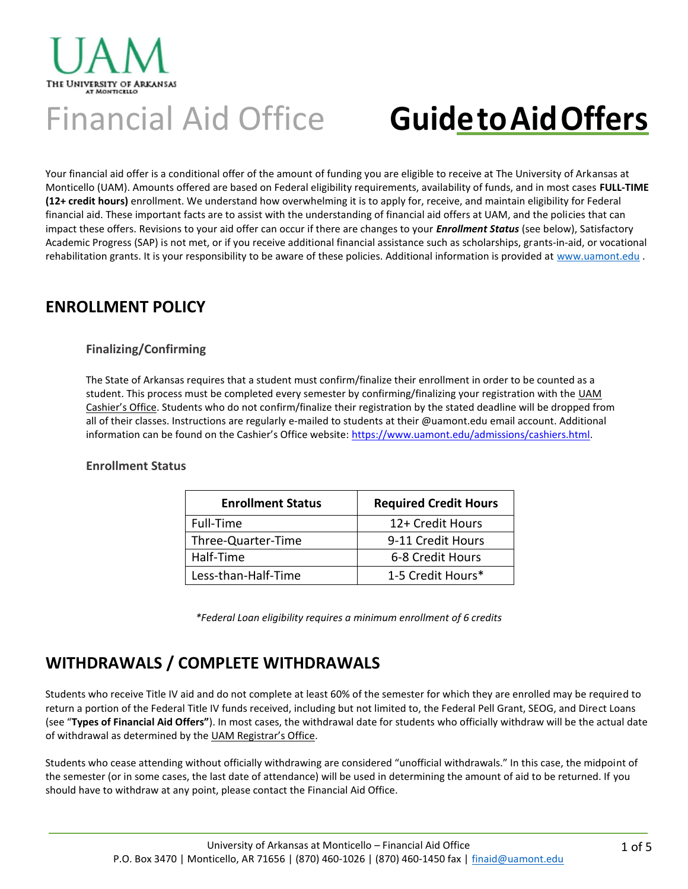# Financial Aid Office **GuidetoAidOffers**

Your financial aid offer is a conditional offer of the amount of funding you are eligible to receive at The University of Arkansas at Monticello (UAM). Amounts offered are based on Federal eligibility requirements, availability of funds, and in most cases **FULL‐TIME (12+ credit hours)** enrollment. We understand how overwhelming it is to apply for, receive, and maintain eligibility for Federal financial aid. These important facts are to assist with the understanding of financial aid offers at UAM, and the policies that can impact these offers. Revisions to your aid offer can occur if there are changes to your *Enrollment Status* (see below), Satisfactory Academic Progress (SAP) is not met, or if you receive additional financial assistance such as scholarships, grants‐in‐aid, or vocational rehabilitation grants. It is your responsibility to be aware of these policies. Additional information is provided at [www.uamont.edu](http://www.uamont.edu/) .

#### **ENROLLMENT POLICY**

THE UNIVERSITY OF ARKANSAS

#### **Finalizing/Confirming**

The State of Arkansas requires that a student must confirm/finalize their enrollment in order to be counted as a student. This process must be completed every semester by confirming/finalizing your registration with the UAM Cashier's Office. Students who do not confirm/finalize their registration by the stated deadline will be dropped from all of their classes. Instructions are regularly e-mailed to students at their @uamont.edu email account. Additional information can be found on the Cashier's Office website: [https://www.uamont.edu/admissions/cashiers.html.](https://www.uamont.edu/admissions/cashiers.html)

#### **Enrollment Status**

| <b>Enrollment Status</b> | <b>Required Credit Hours</b> |
|--------------------------|------------------------------|
| Full-Time                | 12+ Credit Hours             |
| Three-Quarter-Time       | 9-11 Credit Hours            |
| Half-Time                | 6-8 Credit Hours             |
| Less-than-Half-Time      | 1-5 Credit Hours*            |

*\*Federal Loan eligibility requires a minimum enrollment of 6 credits*

## **WITHDRAWALS / COMPLETE WITHDRAWALS**

Students who receive Title IV aid and do not complete at least 60% of the semester for which they are enrolled may be required to return a portion of the Federal Title IV funds received, including but not limited to, the Federal Pell Grant, SEOG, and Direct Loans (see "**Types of Financial Aid Offers"**). In most cases, the withdrawal date for students who officially withdraw will be the actual date of withdrawal as determined by the UAM Registrar's Office.

Students who cease attending without officially withdrawing are considered "unofficial withdrawals." In this case, the midpoint of the semester (or in some cases, the last date of attendance) will be used in determining the amount of aid to be returned. If you should have to withdraw at any point, please contact the Financial Aid Office.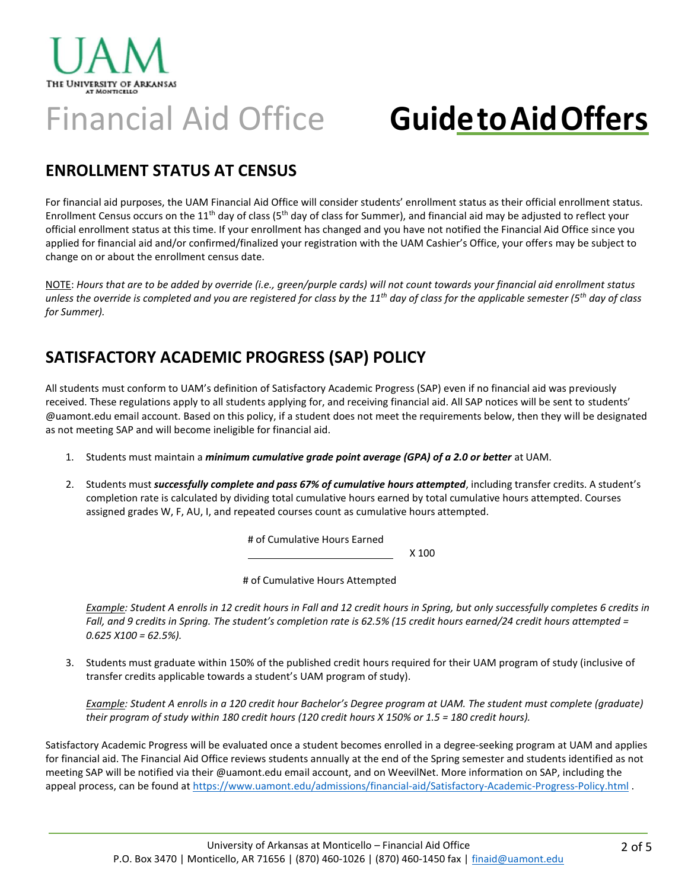# Financial Aid Office **GuidetoAidOffers**

## **ENROLLMENT STATUS AT CENSUS**

For financial aid purposes, the UAM Financial Aid Office will consider students' enrollment status as their official enrollment status. Enrollment Census occurs on the 11<sup>th</sup> day of class (5<sup>th</sup> day of class for Summer), and financial aid may be adjusted to reflect your official enrollment status at this time. If your enrollment has changed and you have not notified the Financial Aid Office since you applied for financial aid and/or confirmed/finalized your registration with the UAM Cashier's Office, your offers may be subject to change on or about the enrollment census date.

NOTE: *Hours that are to be added by override (i.e., green/purple cards) will not count towards your financial aid enrollment status unless the override is completed and you are registered for class by the 11th day of class for the applicable semester (5th day of class for Summer).*

## **SATISFACTORY ACADEMIC PROGRESS (SAP) POLICY**

All students must conform to UAM's definition of Satisfactory Academic Progress (SAP) even if no financial aid was previously received. These regulations apply to all students applying for, and receiving financial aid. All SAP notices will be sent to students' @uamont.edu email account. Based on this policy, if a student does not meet the requirements below, then they will be designated as not meeting SAP and will become ineligible for financial aid.

- 1. Students must maintain a *minimum cumulative grade point average (GPA) of a 2.0 or better* at UAM.
- 2. Students must *successfully complete and pass 67% of cumulative hours attempted*, including transfer credits. A student's completion rate is calculated by dividing total cumulative hours earned by total cumulative hours attempted. Courses assigned grades W, F, AU, I, and repeated courses count as cumulative hours attempted.

# of Cumulative Hours Earned

X 100

# of Cumulative Hours Attempted

*Example: Student A enrolls in 12 credit hours in Fall and 12 credit hours in Spring, but only successfully completes 6 credits in Fall, and 9 credits in Spring. The student's completion rate is 62.5% (15 credit hours earned/24 credit hours attempted = 0.625 X100 = 62.5%).*

3. Students must graduate within 150% of the published credit hours required for their UAM program of study (inclusive of transfer credits applicable towards a student's UAM program of study).

*Example: Student A enrolls in a 120 credit hour Bachelor's Degree program at UAM. The student must complete (graduate) their program of study within 180 credit hours (120 credit hours X 150% or 1.5 = 180 credit hours).*

Satisfactory Academic Progress will be evaluated once a student becomes enrolled in a degree‐seeking program at UAM and applies for financial aid. The Financial Aid Office reviews students annually at the end of the Spring semester and students identified as not meeting SAP will be notified via their @uamont.edu email account, and on WeevilNet. More information on SAP, including the appeal process, can be found a[t https://www.uamont.edu/admissions/financial-aid/Satisfactory-Academic-Progress-Policy.html](https://www.uamont.edu/admissions/financial-aid/Satisfactory-Academic-Progress-Policy.html) .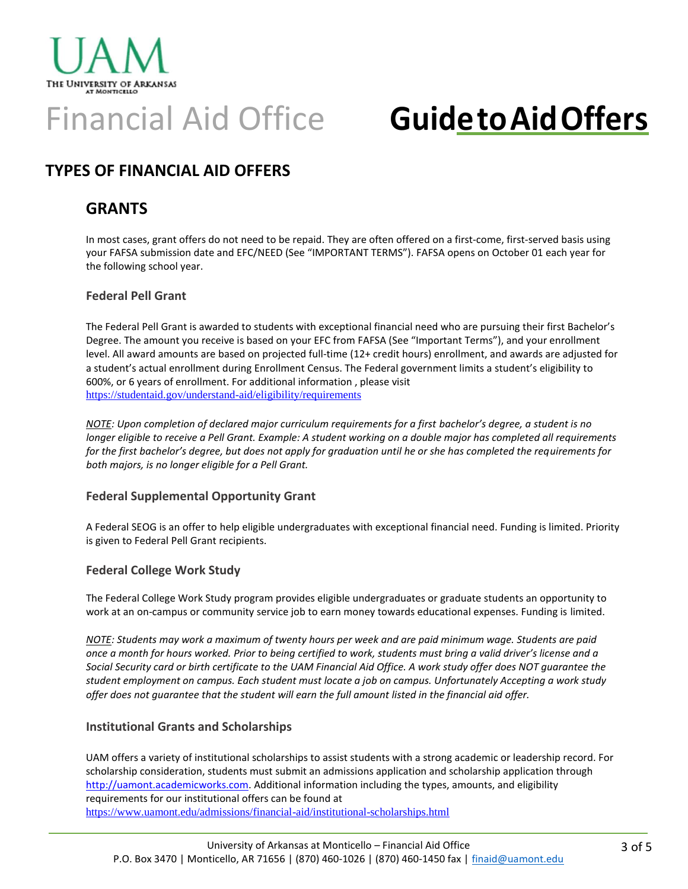# Financial Aid Office **GuidetoAidOffers**

## **TYPES OF FINANCIAL AID OFFERS**

#### **GRANTS**

THE UNIVERSITY OF ARKANSAS

In most cases, grant offers do not need to be repaid. They are often offered on a first-come, first-served basis using your FAFSA submission date and EFC/NEED (See "IMPORTANT TERMS"). FAFSA opens on October 01 each year for the following school year.

#### **Federal Pell Grant**

The Federal Pell Grant is awarded to students with exceptional financial need who are pursuing their first Bachelor's Degree. The amount you receive is based on your EFC from FAFSA (See "Important Terms"), and your enrollment level. All award amounts are based on projected full‐time (12+ credit hours) enrollment, and awards are adjusted for a student's actual enrollment during Enrollment Census. The Federal government limits a student's eligibility to 600%, or 6 years of enrollment. For additional information , please visit <https://studentaid.gov/understand-aid/eligibility/requirements>

*NOTE: Upon completion of declared major curriculum requirements for a first bachelor's degree, a student is no longer eligible to receive a Pell Grant. Example: A student working on a double major has completed all requirements for the first bachelor's degree, but does not apply for graduation until he or she has completed the requirements for both majors, is no longer eligible for a Pell Grant.*

#### **Federal Supplemental Opportunity Grant**

A Federal SEOG is an offer to help eligible undergraduates with exceptional financial need. Funding is limited. Priority is given to Federal Pell Grant recipients.

#### **Federal College Work Study**

The Federal College Work Study program provides eligible undergraduates or graduate students an opportunity to work at an on-campus or community service job to earn money towards educational expenses. Funding is limited.

*NOTE: Students may work a maximum of twenty hours per week and are paid minimum wage. Students are paid once a month for hours worked. Prior to being certified to work, students must bring a valid driver's license and a Social Security card or birth certificate to the UAM Financial Aid Office. A work study offer does NOT guarantee the student employment on campus. Each student must locate a job on campus. Unfortunately Accepting a work study offer does not guarantee that the student will earn the full amount listed in the financial aid offer.*

#### **Institutional Grants and Scholarships**

UAM offers a variety of institutional scholarships to assist students with a strong academic or leadership record. For scholarship consideration, students must submit an admissions application and scholarship application through [http://uamont.academicworks.com. A](http://uamont.academicworks.com/)dditional information including the types, amounts, and eligibility requirements for our institutional offers can be found at <https://www.uamont.edu/admissions/financial-aid/institutional-scholarships.html>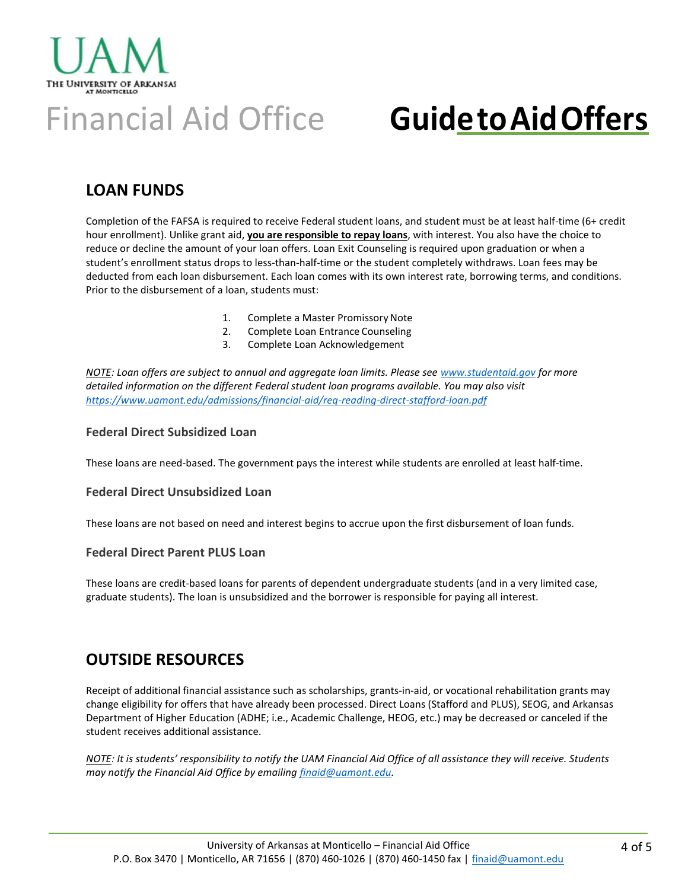# THE UNIVERSITY OF ARKANSAS

# Financial Aid Office **GuidetoAidOffers**

## **LOAN FUNDS**

Completion of the FAFSA is required to receive Federal student loans, and student must be at least half‐time (6+ credit hour enrollment). Unlike grant aid, **you are responsible to repay loans**, with interest. You also have the choice to reduce or decline the amount of your loan offers. Loan Exit Counseling is required upon graduation or when a student's enrollment status drops to less-than-half-time or the student completely withdraws. Loan fees may be deducted from each loan disbursement. Each loan comes with its own interest rate, borrowing terms, and conditions. Prior to the disbursement of a loan, students must:

- 1. Complete a Master Promissory Note
- 2. Complete Loan Entrance Counseling
- 3. Complete Loan Acknowledgement

*NOTE: Loan offers are subject to annual and aggregate loan limits. Please see [www.studentaid.gov](http://www.studentaid.gov/) for more detailed information on the different Federal student loan programs available. You may also visit [https://www.uamont.edu/admissions/financial-aid/req-re](https://www.uamont.edu/admissions/financial-aid/req-reading-direct-stafford-loan.pdf)ading‐direct-stafford-loan.pdf*

#### **Federal Direct Subsidized Loan**

These loans are need‐based. The government pays the interest while students are enrolled at least half‐time.

#### **Federal Direct Unsubsidized Loan**

These loans are not based on need and interest begins to accrue upon the first disbursement of loan funds.

#### **Federal Direct Parent PLUS Loan**

These loans are credit‐based loans for parents of dependent undergraduate students (and in a very limited case, graduate students). The loan is unsubsidized and the borrower is responsible for paying all interest.

#### **OUTSIDE RESOURCES**

Receipt of additional financial assistance such as scholarships, grants-in-aid, or vocational rehabilitation grants may change eligibility for offers that have already been processed. Direct Loans (Stafford and PLUS), SEOG, and Arkansas Department of Higher Education (ADHE; i.e., Academic Challenge, HEOG, etc.) may be decreased or canceled if the student receives additional assistance.

*NOTE: It is students' responsibility to notify the UAM Financial Aid Office of all assistance they will receive. Students may notify the Financial Aid Office by emailing [finaid@uamont.edu.](mailto:finaid@uamont.edu)*